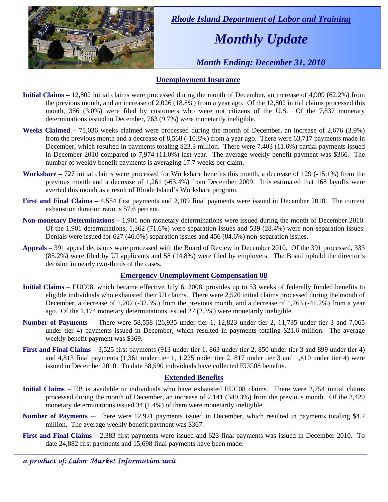

 *Rhode Island Department of Labor and Training* 

# *Monthly Update*

 *Month Ending: December 31, 2010* 

### **Unemployment Insurance**

- **Initial Claims** 12,802 initial claims were processed during the month of December, an increase of 4,909 (62.2%) from the previous month, and an increase of 2,026 (18.8%) from a year ago. Of the 12,802 initial claims processed this month, 386 (3.0%) were filed by customers who were not citizens of the U.S. Of the 7,837 monetary determinations issued in December, 763 (9.7%) were monetarily ineligible.
- **Weeks Claimed** 71,036 weeks claimed were processed during the month of December, an increase of 2,676 (3.9%) from the previous month and a decrease of 8,568 (-10.8%) from a year ago. There were 63,717 payments made in December, which resulted in payments totaling \$23.3 million. There were 7,403 (11.6%) partial payments issued in December 2010 compared to 7,974 (11.0%) last year. The average weekly benefit payment was \$366. The number of weekly benefit payments is averaging 17.7 weeks per claim.
- **Workshare –** 727 initial claims were processed for Workshare benefits this month, a decrease of 129 (-15.1%) from the previous month and a decrease of 1,261 (-63.4%) from December 2009. It is estimated that 168 layoffs were averted this month as a result of Rhode Island's Workshare program.
- **First and Final Claims –** 4,554 first payments and 2,109 final payments were issued in December 2010. The current exhaustion duration ratio is 57.6 percent.
- **Non-monetary Determinations –** 1,901 non-monetary determinations were issued during the month of December 2010. Of the 1,901 determinations, 1,362 (71.6%) were separation issues and 539 (28.4%) were non-separation issues. Denials were issued for 627 (46.0%) separation issues and 456 (84.6%) non-separation issues.
- **Appeals** 391 appeal decisions were processed with the Board of Review in December 2010. Of the 391 processed, 333 (85.2%) were filed by UI applicants and 58 (14.8%) were filed by employers. The Board upheld the director's decision in nearly two-thirds of the cases.

### **Emergency Unemployment Compensation 08**

- **Initial Claims**  EUC08, which became effective July 6, 2008, provides up to 53 weeks of federally funded benefits to eligible individuals who exhausted their UI claims. There were 2,520 initial claims processed during the month of December, a decrease of 1,202 (-32.3%) from the previous month, and a decrease of 1,763 (-41.2%) from a year ago. Of the 1,174 monetary determinations issued 27 (2.3%) were monetarily ineligible.
- **Number of Payments** -– There were 58,558 (26,935 under tier 1, 12,823 under tier 2, 11,735 under tier 3 and 7,065 under tier 4) payments issued in December, which resulted in payments totaling \$21.6 million. The average weekly benefit payment was \$369.
- **First and Final Claims**  3,525 first payments (913 under tier 1, 863 under tier 2, 850 under tier 3 and 899 under tier 4) and 4,813 final payments (1,361 under tier 1, 1,225 under tier 2, 817 under tier 3 and 1,410 under tier 4) were issued in December 2010. To date 58,590 individuals have collected EUC08 benefits.

### **Extended Benefits**

- **Initial Claims**  EB is available to individuals who have exhausted EUC08 claims. There were 2,754 initial claims processed during the month of December, an increase of 2,141 (349.3%) from the previous month. Of the 2,420 monetary determinations issued 34 (1.4%) of them were monetarily ineligible.
- **Number of Payments —** There were 12,921 payments issued in December, which resulted in payments totaling \$4.7 million. The average weekly benefit payment was \$367.
- **First and Final Claims**  2,383 first payments were issued and 623 final payments was issued in December 2010. To date 24,882 first payments and 15,698 final payments have been made.